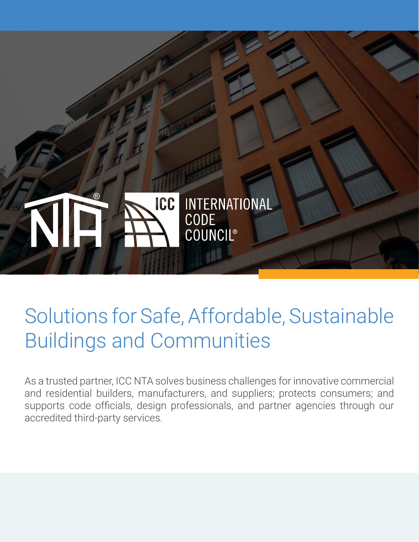

# Solutions for Safe, Affordable, Sustainable Buildings and Communities

As a trusted partner, ICC NTA solves business challenges for innovative commercial and residential builders, manufacturers, and suppliers; protects consumers; and supports code officials, design professionals, and partner agencies through our accredited third-party services.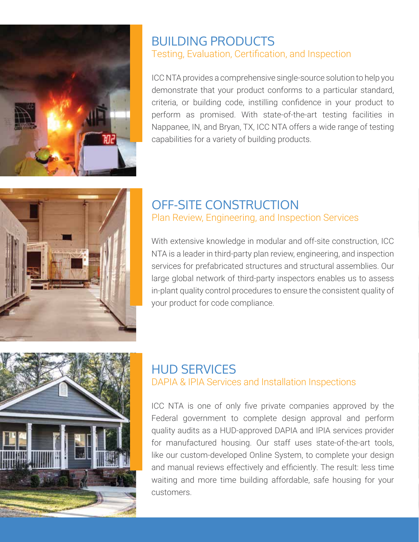

# BUILDING PRODUCTS Testing, Evaluation, Certification, and Inspection

ICC NTA provides a comprehensive single-source solution to help you demonstrate that your product conforms to a particular standard, criteria, or building code, instilling confidence in your product to perform as promised. With state-of-the-art testing facilities in Nappanee, IN, and Bryan, TX, ICC NTA offers a wide range of testing capabilities for a variety of building products.



### OFF-SITE CONSTRUCTION Plan Review, Engineering, and Inspection Services

With extensive knowledge in modular and off-site construction, ICC NTA is a leader in third-party plan review, engineering, and inspection services for prefabricated structures and structural assemblies. Our large global network of third-party inspectors enables us to assess in-plant quality control procedures to ensure the consistent quality of your product for code compliance.



# HUD SERVICES DAPIA & IPIA Services and Installation Inspections

ICC NTA is one of only five private companies approved by the Federal government to complete design approval and perform quality audits as a HUD-approved DAPIA and IPIA services provider for manufactured housing. Our staff uses state-of-the-art tools, like our custom-developed Online System, to complete your design and manual reviews effectively and efficiently. The result: less time waiting and more time building affordable, safe housing for your customers.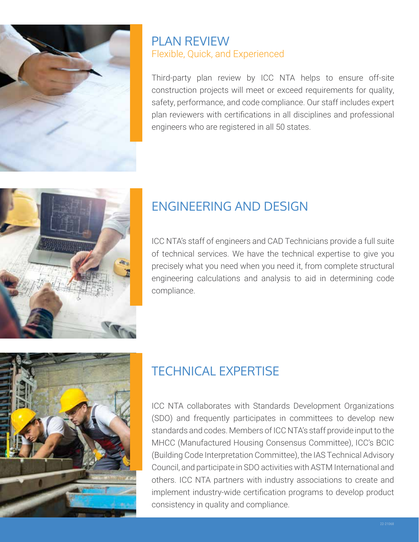

# PLAN REVIEW Flexible, Quick, and Experienced

Third-party plan review by ICC NTA helps to ensure off-site construction projects will meet or exceed requirements for quality, safety, performance, and code compliance. Our staff includes expert plan reviewers with certifications in all disciplines and professional engineers who are registered in all 50 states.



# ENGINEERING AND DESIGN

ICC NTA's staff of engineers and CAD Technicians provide a full suite of technical services. We have the technical expertise to give you precisely what you need when you need it, from complete structural engineering calculations and analysis to aid in determining code compliance.



# TECHNICAL EXPERTISE

ICC NTA collaborates with Standards Development Organizations (SDO) and frequently participates in committees to develop new standards and codes. Members of ICC NTA's staff provide input to the MHCC (Manufactured Housing Consensus Committee), ICC's BCIC (Building Code Interpretation Committee), the IAS Technical Advisory Council, and participate in SDO activities with ASTM International and others. ICC NTA partners with industry associations to create and implement industry-wide certification programs to develop product consistency in quality and compliance.